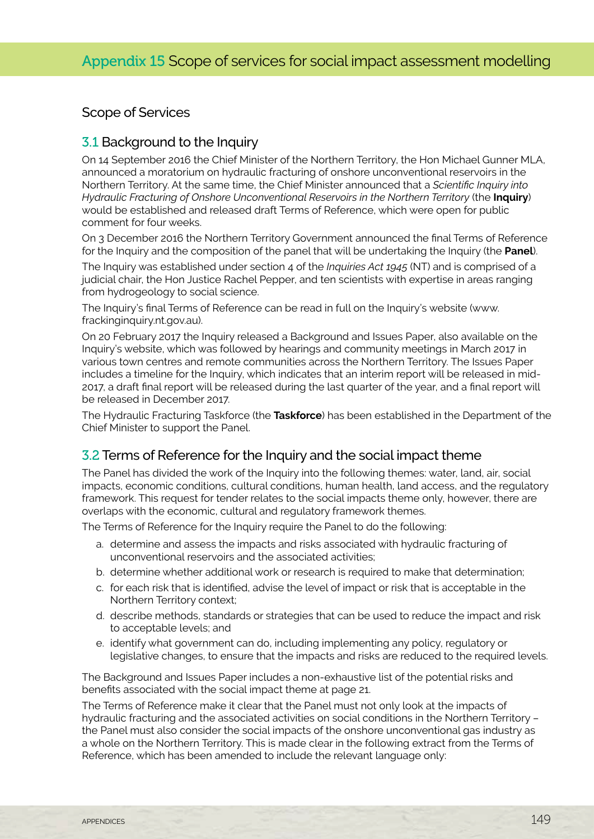### Scope of Services

### 3.1 Background to the Inquiry

On 14 September 2016 the Chief Minister of the Northern Territory, the Hon Michael Gunner MLA, announced a moratorium on hydraulic fracturing of onshore unconventional reservoirs in the Northern Territory. At the same time, the Chief Minister announced that a *Scientific Inquiry into Hydraulic Fracturing of Onshore Unconventional Reservoirs in the Northern Territory* (the **Inquiry**) would be established and released draft Terms of Reference, which were open for public comment for four weeks.

On 3 December 2016 the Northern Territory Government announced the final Terms of Reference for the Inquiry and the composition of the panel that will be undertaking the Inquiry (the **Panel**).

The Inquiry was established under section 4 of the *Inquiries Act 1945* (NT) and is comprised of a judicial chair, the Hon Justice Rachel Pepper, and ten scientists with expertise in areas ranging from hydrogeology to social science.

The Inquiry's final Terms of Reference can be read in full on the Inquiry's website (www. frackinginquiry.nt.gov.au).

On 20 February 2017 the Inquiry released a Background and Issues Paper, also available on the Inquiry's website, which was followed by hearings and community meetings in March 2017 in various town centres and remote communities across the Northern Territory. The Issues Paper includes a timeline for the Inquiry, which indicates that an interim report will be released in mid-2017, a draft final report will be released during the last quarter of the year, and a final report will be released in December 2017.

The Hydraulic Fracturing Taskforce (the **Taskforce**) has been established in the Department of the Chief Minister to support the Panel.

# 3.2 Terms of Reference for the Inquiry and the social impact theme

The Panel has divided the work of the Inquiry into the following themes: water, land, air, social impacts, economic conditions, cultural conditions, human health, land access, and the regulatory framework. This request for tender relates to the social impacts theme only, however, there are overlaps with the economic, cultural and regulatory framework themes.

The Terms of Reference for the Inquiry require the Panel to do the following:

- a. determine and assess the impacts and risks associated with hydraulic fracturing of unconventional reservoirs and the associated activities;
- b. determine whether additional work or research is required to make that determination;
- c. for each risk that is identified, advise the level of impact or risk that is acceptable in the Northern Territory context;
- d. describe methods, standards or strategies that can be used to reduce the impact and risk to acceptable levels; and
- e. identify what government can do, including implementing any policy, regulatory or legislative changes, to ensure that the impacts and risks are reduced to the required levels.

The Background and Issues Paper includes a non-exhaustive list of the potential risks and benefits associated with the social impact theme at page 21.

The Terms of Reference make it clear that the Panel must not only look at the impacts of hydraulic fracturing and the associated activities on social conditions in the Northern Territory – the Panel must also consider the social impacts of the onshore unconventional gas industry as a whole on the Northern Territory. This is made clear in the following extract from the Terms of Reference, which has been amended to include the relevant language only: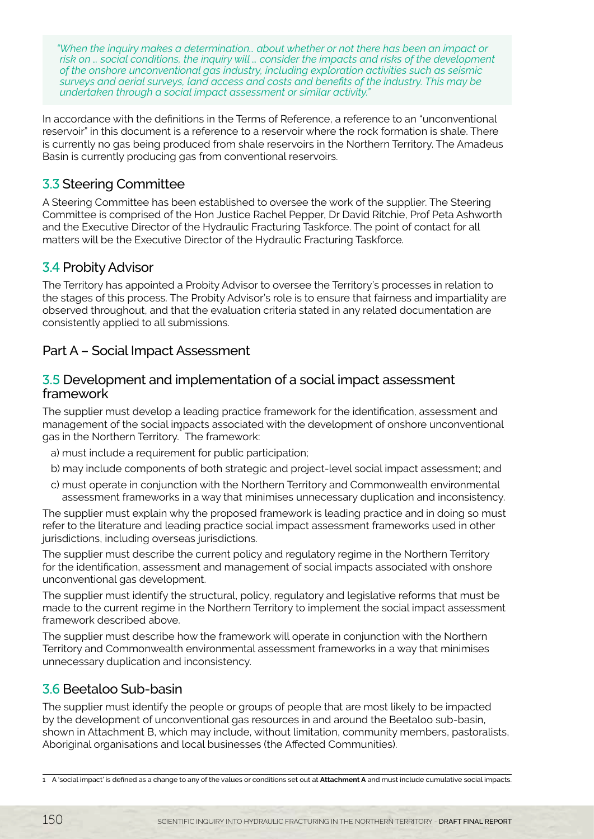*"When the inquiry makes a determination… about whether or not there has been an impact or risk on … social conditions, the inquiry will … consider the impacts and risks of the development of the onshore unconventional gas industry, including exploration activities such as seismic surveys and aerial surveys, land access and costs and benefits of the industry. This may be undertaken through a social impact assessment or similar activity."*

In accordance with the definitions in the Terms of Reference, a reference to an "unconventional reservoir" in this document is a reference to a reservoir where the rock formation is shale. There is currently no gas being produced from shale reservoirs in the Northern Territory. The Amadeus Basin is currently producing gas from conventional reservoirs.

# 3.3 Steering Committee

A Steering Committee has been established to oversee the work of the supplier. The Steering Committee is comprised of the Hon Justice Rachel Pepper, Dr David Ritchie, Prof Peta Ashworth and the Executive Director of the Hydraulic Fracturing Taskforce. The point of contact for all matters will be the Executive Director of the Hydraulic Fracturing Taskforce.

# 3.4 Probity Advisor

The Territory has appointed a Probity Advisor to oversee the Territory's processes in relation to the stages of this process. The Probity Advisor's role is to ensure that fairness and impartiality are observed throughout, and that the evaluation criteria stated in any related documentation are consistently applied to all submissions.

## Part A – Social Impact Assessment

#### 3.5 Development and implementation of a social impact assessment framework

The supplier must develop a leading practice framework for the identification, assessment and management of the social impacts associated with the development of onshore unconventional management of the social inpacts associated<br>gas in the Northern Territory. The framework:

- a) must include a requirement for public participation;
- b) may include components of both strategic and project-level social impact assessment; and
- c) must operate in conjunction with the Northern Territory and Commonwealth environmental assessment frameworks in a way that minimises unnecessary duplication and inconsistency.

The supplier must explain why the proposed framework is leading practice and in doing so must refer to the literature and leading practice social impact assessment frameworks used in other jurisdictions, including overseas jurisdictions.

The supplier must describe the current policy and regulatory regime in the Northern Territory for the identification, assessment and management of social impacts associated with onshore unconventional gas development.

The supplier must identify the structural, policy, regulatory and legislative reforms that must be made to the current regime in the Northern Territory to implement the social impact assessment framework described above.

The supplier must describe how the framework will operate in conjunction with the Northern Territory and Commonwealth environmental assessment frameworks in a way that minimises unnecessary duplication and inconsistency.

# 3.6 Beetaloo Sub-basin

The supplier must identify the people or groups of people that are most likely to be impacted by the development of unconventional gas resources in and around the Beetaloo sub-basin, shown in Attachment B, which may include, without limitation, community members, pastoralists, Aboriginal organisations and local businesses (the Affected Communities).

<sup>1</sup> A 'social impact' is defined as a change to any of the values or conditions set out at **Attachment A** and must include cumulative social impacts.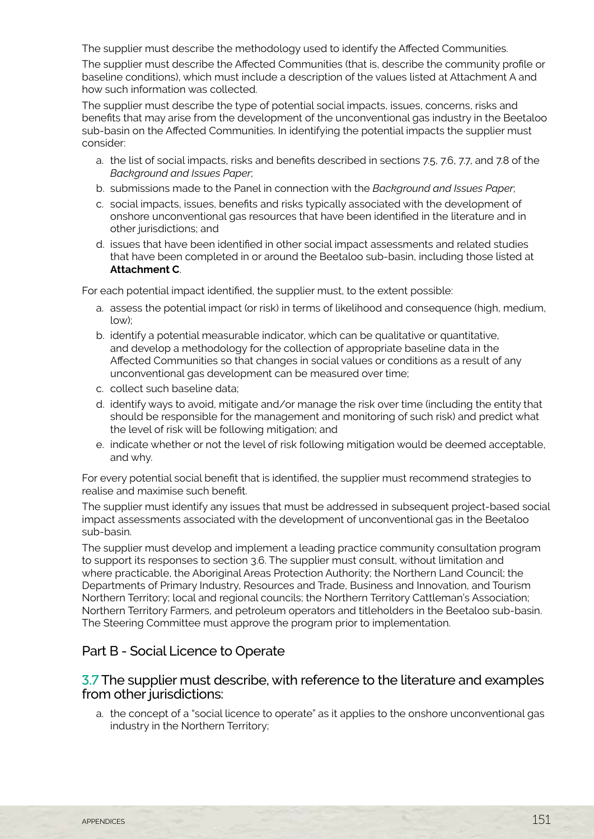The supplier must describe the methodology used to identify the Affected Communities.

The supplier must describe the Affected Communities (that is, describe the community profile or baseline conditions), which must include a description of the values listed at Attachment A and how such information was collected.

The supplier must describe the type of potential social impacts, issues, concerns, risks and benefits that may arise from the development of the unconventional gas industry in the Beetaloo sub-basin on the Affected Communities. In identifying the potential impacts the supplier must consider:

- a. the list of social impacts, risks and benefits described in sections 7.5, 7.6, 7.7, and 7.8 of the *Background and Issues Paper*;
- b. submissions made to the Panel in connection with the *Background and Issues Paper*;
- c. social impacts, issues, benefits and risks typically associated with the development of onshore unconventional gas resources that have been identified in the literature and in other jurisdictions; and
- d. issues that have been identified in other social impact assessments and related studies that have been completed in or around the Beetaloo sub-basin, including those listed at **Attachment C**.

For each potential impact identified, the supplier must, to the extent possible:

- a. assess the potential impact (or risk) in terms of likelihood and consequence (high, medium, low);
- b. identify a potential measurable indicator, which can be qualitative or quantitative, and develop a methodology for the collection of appropriate baseline data in the Affected Communities so that changes in social values or conditions as a result of any unconventional gas development can be measured over time;
- c. collect such baseline data;
- d. identify ways to avoid, mitigate and/or manage the risk over time (including the entity that should be responsible for the management and monitoring of such risk) and predict what the level of risk will be following mitigation; and
- e. indicate whether or not the level of risk following mitigation would be deemed acceptable, and why.

For every potential social benefit that is identified, the supplier must recommend strategies to realise and maximise such benefit.

The supplier must identify any issues that must be addressed in subsequent project-based social impact assessments associated with the development of unconventional gas in the Beetaloo sub-basin.

The supplier must develop and implement a leading practice community consultation program to support its responses to section 3.6. The supplier must consult, without limitation and where practicable, the Aboriginal Areas Protection Authority; the Northern Land Council; the Departments of Primary Industry, Resources and Trade, Business and Innovation, and Tourism Northern Territory; local and regional councils; the Northern Territory Cattleman's Association; Northern Territory Farmers, and petroleum operators and titleholders in the Beetaloo sub-basin. The Steering Committee must approve the program prior to implementation.

#### Part B - Social Licence to Operate

#### 3.7 The supplier must describe, with reference to the literature and examples from other jurisdictions:

a. the concept of a "social licence to operate" as it applies to the onshore unconventional gas industry in the Northern Territory;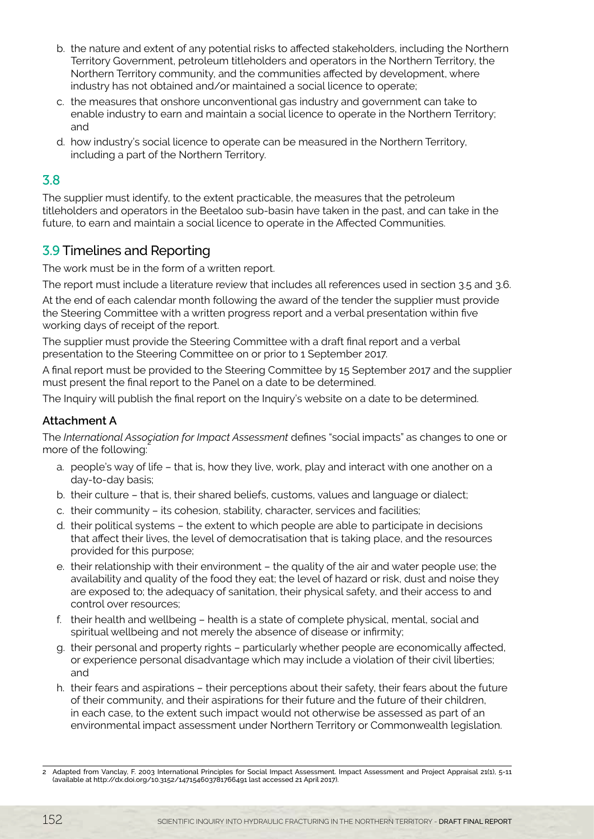- b. the nature and extent of any potential risks to affected stakeholders, including the Northern Territory Government, petroleum titleholders and operators in the Northern Territory, the Northern Territory community, and the communities affected by development, where industry has not obtained and/or maintained a social licence to operate;
- c. the measures that onshore unconventional gas industry and government can take to enable industry to earn and maintain a social licence to operate in the Northern Territory; and
- d. how industry's social licence to operate can be measured in the Northern Territory, including a part of the Northern Territory.

### 3.8

The supplier must identify, to the extent practicable, the measures that the petroleum titleholders and operators in the Beetaloo sub-basin have taken in the past, and can take in the future, to earn and maintain a social licence to operate in the Affected Communities.

# 3.9 Timelines and Reporting

The work must be in the form of a written report.

The report must include a literature review that includes all references used in section 3.5 and 3.6.

At the end of each calendar month following the award of the tender the supplier must provide the Steering Committee with a written progress report and a verbal presentation within five working days of receipt of the report.

The supplier must provide the Steering Committee with a draft final report and a verbal presentation to the Steering Committee on or prior to 1 September 2017.

A final report must be provided to the Steering Committee by 15 September 2017 and the supplier must present the final report to the Panel on a date to be determined.

The Inquiry will publish the final report on the Inquiry's website on a date to be determined.

#### **Attachment A**

The *International Association for Impact Assessment* defines "social impacts" as changes to one or more of the following:

- a. people's way of life that is, how they live, work, play and interact with one another on a day-to-day basis;
- b. their culture that is, their shared beliefs, customs, values and language or dialect;
- c. their community its cohesion, stability, character, services and facilities;
- d. their political systems the extent to which people are able to participate in decisions that affect their lives, the level of democratisation that is taking place, and the resources provided for this purpose;
- e. their relationship with their environment the quality of the air and water people use; the availability and quality of the food they eat; the level of hazard or risk, dust and noise they are exposed to; the adequacy of sanitation, their physical safety, and their access to and control over resources;
- f. their health and wellbeing health is a state of complete physical, mental, social and spiritual wellbeing and not merely the absence of disease or infirmity;
- g. their personal and property rights particularly whether people are economically affected, or experience personal disadvantage which may include a violation of their civil liberties; and
- h. their fears and aspirations their perceptions about their safety, their fears about the future of their community, and their aspirations for their future and the future of their children, in each case, to the extent such impact would not otherwise be assessed as part of an environmental impact assessment under Northern Territory or Commonwealth legislation.

Adapted from Vanclay, F. 2003 International Principles for Social Impact Assessment. Impact Assessment and Project Appraisal 21(1), 5-11 (available at http://dx.doi.org/10.3152/147154603781766491 last accessed 21 April 2017).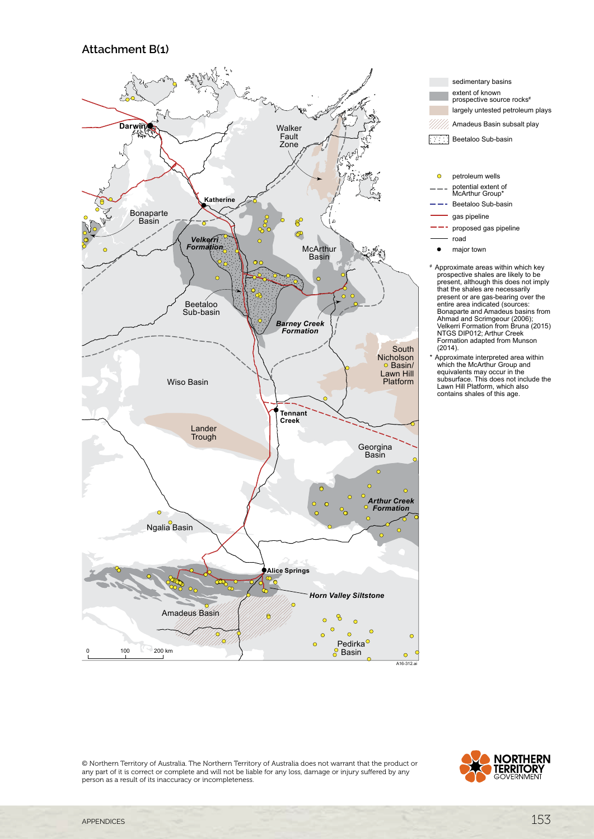#### **Attachment B(1)**



sedimentary basins extent of known prospective source rocks# largely untested petroleum plays Amadeus Basin subsalt play Beetaloo Sub-basin  $\overline{C}$ petroleum wells potential extent of McArthur Group\* Beetaloo Sub-basin gas pipeline proposed gas pipeline road

- major town baa
- # Approximate areas within which key prospective shales are likely to be present, although this does not imply that the shales are necessarily present or are gas-bearing over the entire area indicated (sources: Bonaparte and Amadeus basins from Ahmad and Scrimgeour (2006); Velkerri Formation from Bruna (2015) NTGS DIP012; Arthur Creek Formation adapted from Munson<br>(2014). proposed gas proposed in the contract of the contract of the contract of the contract of the contract of the c<br>Proposed and contract of the contract of the contract of the contract of the contract of the contract of the c ectiv nt, aitnoug present of are gas beaming over the<br>
entire area indicated (sources:<br>
Bonapate and Amadeus basins fron thinad and Schingeour (2006),<br>
Velkerri Formation from Bruna (201<br>ITGS DIP012; Arthur Creek
- \* Approximate interpreted area within which the McArthur Group and equivalents may occur in the subsurface. This does not include the Lawn Hill Platform, which also contains shales of this age. pproximate interpreted area within<br><sub>shich</sub> the McArthur Group and  $\frac{1}{2}$ . Lawn Hill Platform, which also<br>contains shales of this age.

© Northern Territory of Australia. The Northern Territory of Australia does not warrant that the product or any part of it is correct or complete and will not be liable for any loss, damage or injury suffered by any person as a result of its inaccuracy or incompleteness.